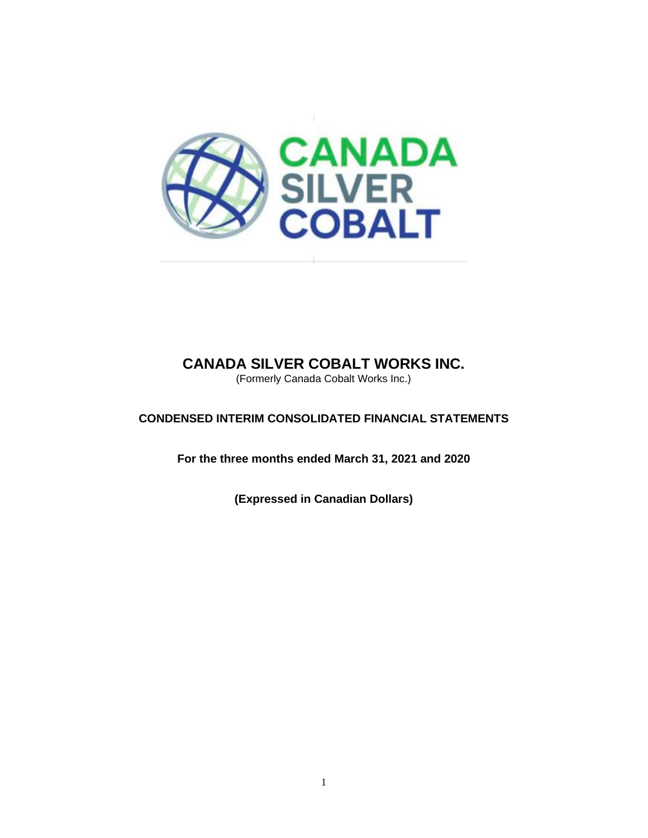

(Formerly Canada Cobalt Works Inc.)

# **CONDENSED INTERIM CONSOLIDATED FINANCIAL STATEMENTS**

**For the three months ended March 31, 2021 and 2020**

**(Expressed in Canadian Dollars)**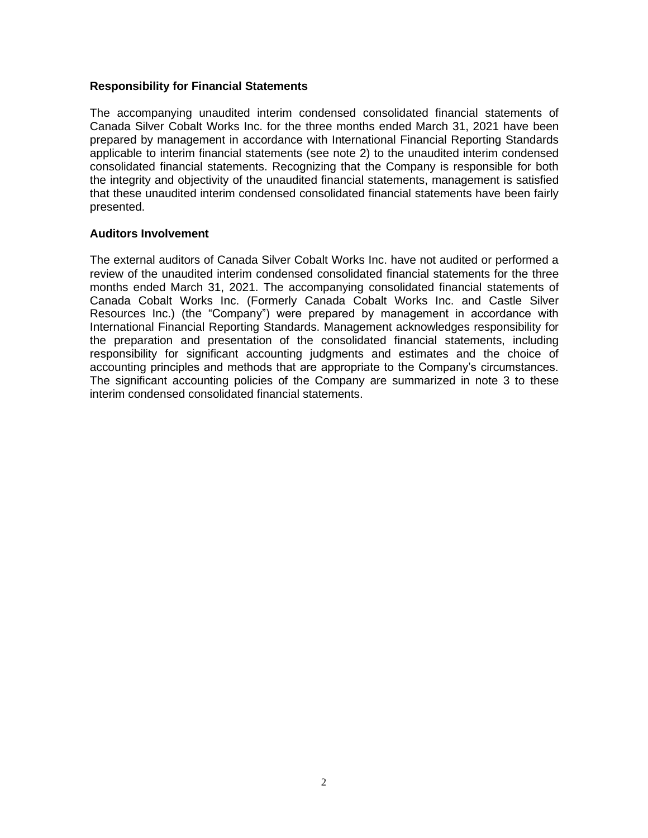#### **Responsibility for Financial Statements**

The accompanying unaudited interim condensed consolidated financial statements of Canada Silver Cobalt Works Inc. for the three months ended March 31, 2021 have been prepared by management in accordance with International Financial Reporting Standards applicable to interim financial statements (see note 2) to the unaudited interim condensed consolidated financial statements. Recognizing that the Company is responsible for both the integrity and objectivity of the unaudited financial statements, management is satisfied that these unaudited interim condensed consolidated financial statements have been fairly presented.

## **Auditors Involvement**

The external auditors of Canada Silver Cobalt Works Inc. have not audited or performed a review of the unaudited interim condensed consolidated financial statements for the three months ended March 31, 2021. The accompanying consolidated financial statements of Canada Cobalt Works Inc. (Formerly Canada Cobalt Works Inc. and Castle Silver Resources Inc.) (the "Company") were prepared by management in accordance with International Financial Reporting Standards. Management acknowledges responsibility for the preparation and presentation of the consolidated financial statements, including responsibility for significant accounting judgments and estimates and the choice of accounting principles and methods that are appropriate to the Company's circumstances. The significant accounting policies of the Company are summarized in note 3 to these interim condensed consolidated financial statements.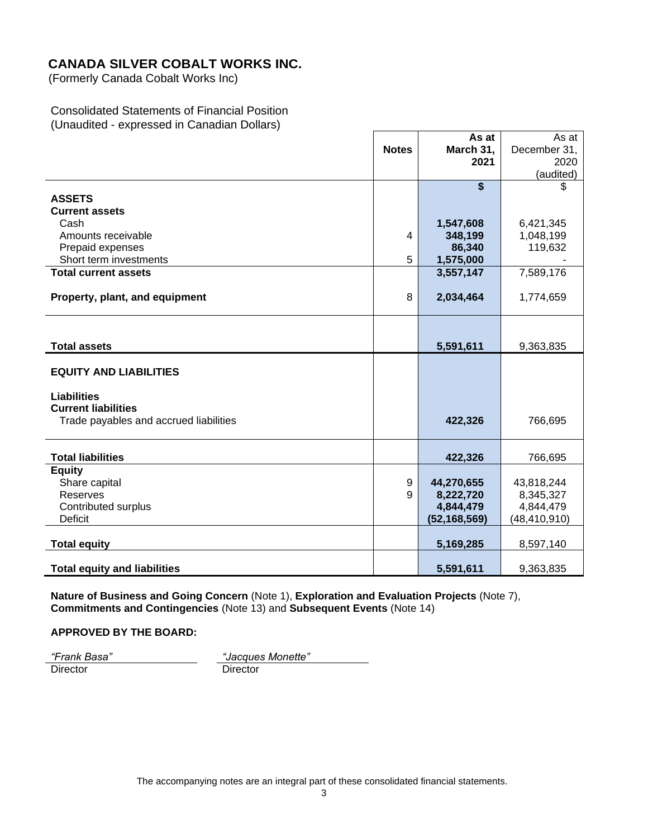(Formerly Canada Cobalt Works Inc)

## Consolidated Statements of Financial Position (Unaudited - expressed in Canadian Dollars)

|                                        |              | As at                   | As at          |
|----------------------------------------|--------------|-------------------------|----------------|
|                                        | <b>Notes</b> | March 31,               | December 31,   |
|                                        |              | 2021                    | 2020           |
|                                        |              |                         | (audited)      |
|                                        |              | $\overline{\mathbf{s}}$ | \$.            |
| <b>ASSETS</b>                          |              |                         |                |
| <b>Current assets</b>                  |              |                         |                |
| Cash                                   |              | 1,547,608               | 6,421,345      |
| Amounts receivable                     | 4            | 348,199                 | 1,048,199      |
| Prepaid expenses                       |              | 86,340                  | 119,632        |
| Short term investments                 | 5            | 1,575,000               |                |
| <b>Total current assets</b>            |              | 3,557,147               | 7,589,176      |
|                                        |              |                         |                |
| Property, plant, and equipment         | 8            | 2,034,464               | 1,774,659      |
|                                        |              |                         |                |
|                                        |              |                         |                |
| <b>Total assets</b>                    |              | 5,591,611               | 9,363,835      |
|                                        |              |                         |                |
| <b>EQUITY AND LIABILITIES</b>          |              |                         |                |
|                                        |              |                         |                |
| <b>Liabilities</b>                     |              |                         |                |
| <b>Current liabilities</b>             |              |                         |                |
| Trade payables and accrued liabilities |              | 422,326                 | 766,695        |
|                                        |              |                         |                |
| <b>Total liabilities</b>               |              | 422,326                 | 766,695        |
| <b>Equity</b>                          |              |                         |                |
| Share capital                          | 9            | 44,270,655              | 43,818,244     |
| <b>Reserves</b>                        | 9            | 8,222,720               | 8,345,327      |
| <b>Contributed surplus</b>             |              | 4,844,479               | 4,844,479      |
| <b>Deficit</b>                         |              | (52, 168, 569)          | (48, 410, 910) |
|                                        |              |                         |                |
| <b>Total equity</b>                    |              | 5,169,285               | 8,597,140      |
| <b>Total equity and liabilities</b>    |              | 5,591,611               | 9,363,835      |

**Nature of Business and Going Concern** (Note 1), **Exploration and Evaluation Projects** (Note 7), **Commitments and Contingencies** (Note 13) and **Subsequent Events** (Note 14)

## **APPROVED BY THE BOARD:**

*"Frank Basa" "Jacques Monette"* Director Director Director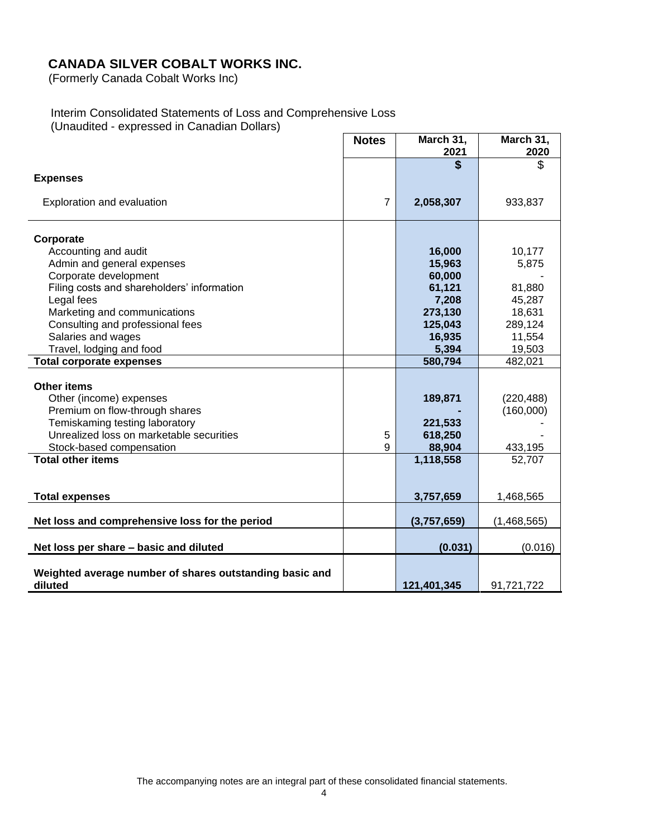(Formerly Canada Cobalt Works Inc)

#### Interim Consolidated Statements of Loss and Comprehensive Loss (Unaudited - expressed in Canadian Dollars)

**Notes March 31, 2021 March 31, 2020 \$** \$ **Expenses** Exploration and evaluation 7 **2,058,307** 933,837 **Corporate** Accounting and audit **16,000** 10,177 Admin and general expenses **15,963** 5,875 Corporate development **60,000** - **60,000** - **60,000** - **60,000** - **60,000** Filing costs and shareholders' information **61,121** 81,880 Legal fees **7,208** 45,287 Marketing and communications **273,130** 18,631 Consulting and professional fees **125,043** 289,124 Salaries and wages **11,554 11,554 11,554**  Travel, lodging and food **5,394** 19,503 **Total corporate expenses 580,794** 482,021 **Other items** Other (income) expenses **189,871** (220,488) Premium on flow-through shares **-** (160,000) Temiskaming testing laboratory **221,533** - Unrealized loss on marketable securities **5 618,250** Stock-based compensation **88,904** 433,195 **Total other items** 52,707 **Total expenses 3,757,659** 1,468,565 **Net loss and comprehensive loss for the period**  $(3,757,659)$  **(1,468,565) Net loss per share – basic and diluted (0.031)** (0.031) (0.031) **Weighted average number of shares outstanding basic and diluted 121,401,345** 91,721,722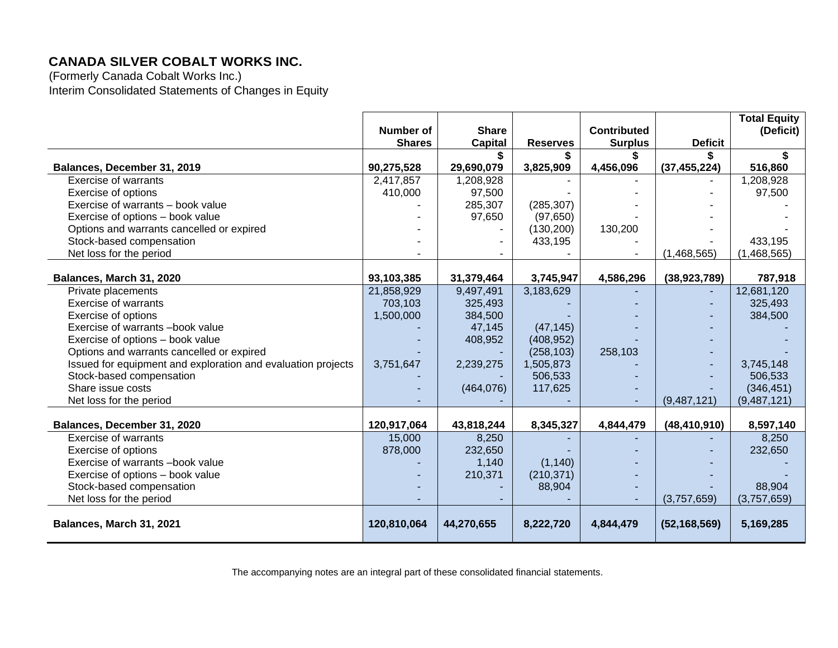(Formerly Canada Cobalt Works Inc.) Interim Consolidated Statements of Changes in Equity

|                                                              |               |                |                 |                    |                | <b>Total Equity</b> |
|--------------------------------------------------------------|---------------|----------------|-----------------|--------------------|----------------|---------------------|
|                                                              | Number of     | <b>Share</b>   |                 | <b>Contributed</b> |                | (Deficit)           |
|                                                              | <b>Shares</b> | <b>Capital</b> | <b>Reserves</b> | <b>Surplus</b>     | <b>Deficit</b> |                     |
|                                                              |               |                |                 |                    |                | \$                  |
| Balances, December 31, 2019                                  | 90,275,528    | 29,690,079     | 3,825,909       | 4,456,096          | (37, 455, 224) | 516,860             |
| <b>Exercise of warrants</b>                                  | 2,417,857     | 1,208,928      |                 |                    |                | 1,208,928           |
| Exercise of options                                          | 410,000       | 97,500         |                 |                    |                | 97,500              |
| Exercise of warrants – book value                            |               | 285,307        | (285, 307)      |                    |                |                     |
| Exercise of options - book value                             |               | 97,650         | (97, 650)       |                    |                |                     |
| Options and warrants cancelled or expired                    |               |                | (130, 200)      | 130,200            |                |                     |
| Stock-based compensation                                     |               |                | 433,195         |                    |                | 433,195             |
| Net loss for the period                                      |               |                |                 |                    | (1,468,565)    | (1,468,565)         |
|                                                              |               |                |                 |                    |                |                     |
| Balances, March 31, 2020                                     | 93,103,385    | 31,379,464     | 3,745,947       | 4,586,296          | (38, 923, 789) | 787,918             |
| Private placements                                           | 21,858,929    | 9,497,491      | 3,183,629       |                    |                | 12,681,120          |
| <b>Exercise of warrants</b>                                  | 703,103       | 325,493        |                 |                    |                | 325,493             |
| Exercise of options                                          | 1,500,000     | 384,500        |                 |                    |                | 384,500             |
| Exercise of warrants -book value                             |               | 47,145         | (47, 145)       |                    |                |                     |
| Exercise of options - book value                             |               | 408,952        | (408, 952)      |                    |                |                     |
| Options and warrants cancelled or expired                    |               |                | (258, 103)      | 258,103            |                |                     |
| Issued for equipment and exploration and evaluation projects | 3,751,647     | 2,239,275      | 1,505,873       |                    |                | 3,745,148           |
| Stock-based compensation                                     |               |                | 506,533         |                    |                | 506,533             |
| Share issue costs                                            |               | (464, 076)     | 117,625         |                    |                | (346, 451)          |
| Net loss for the period                                      |               |                |                 |                    | (9,487,121)    | (9, 487, 121)       |
|                                                              |               |                |                 |                    |                |                     |
| Balances, December 31, 2020                                  | 120,917,064   | 43,818,244     | 8,345,327       | 4,844,479          | (48, 410, 910) | 8,597,140           |
| <b>Exercise of warrants</b>                                  | 15,000        | 8,250          |                 |                    |                | 8,250               |
| Exercise of options                                          | 878,000       | 232,650        |                 |                    |                | 232,650             |
| Exercise of warrants -book value                             |               | 1,140          | (1, 140)        |                    |                |                     |
| Exercise of options - book value                             |               | 210,371        | (210, 371)      |                    |                |                     |
| Stock-based compensation                                     |               |                | 88,904          |                    |                | 88,904              |
| Net loss for the period                                      |               |                |                 |                    | (3,757,659)    | (3,757,659)         |
|                                                              |               |                |                 |                    |                |                     |
| Balances, March 31, 2021                                     | 120,810,064   | 44,270,655     | 8,222,720       | 4,844,479          | (52, 168, 569) | 5,169,285           |

The accompanying notes are an integral part of these consolidated financial statements.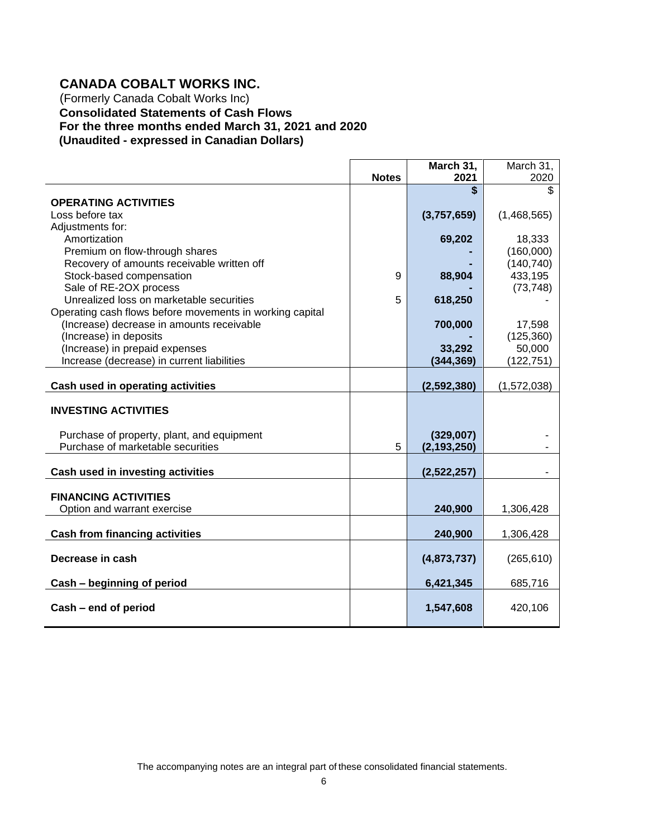# **CANADA COBALT WORKS INC.**

(Formerly Canada Cobalt Works Inc) **Consolidated Statements of Cash Flows For the three months ended March 31, 2021 and 2020 (Unaudited - expressed in Canadian Dollars)**

|                                                                                 |              | March 31,     | March 31,            |
|---------------------------------------------------------------------------------|--------------|---------------|----------------------|
|                                                                                 | <b>Notes</b> | 2021<br>\$    | 2020<br>\$           |
| <b>OPERATING ACTIVITIES</b>                                                     |              |               |                      |
| Loss before tax                                                                 |              | (3,757,659)   | (1,468,565)          |
| Adjustments for:                                                                |              |               |                      |
| Amortization                                                                    |              | 69,202        | 18,333               |
| Premium on flow-through shares                                                  |              |               | (160,000)            |
| Recovery of amounts receivable written off                                      |              |               | (140, 740)           |
| Stock-based compensation                                                        | 9            | 88,904        | 433,195              |
| Sale of RE-2OX process                                                          |              |               | (73, 748)            |
| Unrealized loss on marketable securities                                        | 5            | 618,250       |                      |
| Operating cash flows before movements in working capital                        |              |               |                      |
| (Increase) decrease in amounts receivable                                       |              | 700,000       |                      |
| (Increase) in deposits                                                          |              |               | 17,598               |
| (Increase) in prepaid expenses                                                  |              | 33,292        | (125, 360)<br>50,000 |
| Increase (decrease) in current liabilities                                      |              |               |                      |
|                                                                                 |              | (344, 369)    | (122, 751)           |
| Cash used in operating activities                                               |              | (2,592,380)   | (1,572,038)          |
|                                                                                 |              |               |                      |
| <b>INVESTING ACTIVITIES</b>                                                     |              |               |                      |
|                                                                                 |              |               |                      |
| Purchase of property, plant, and equipment<br>Purchase of marketable securities | 5            | (329,007)     |                      |
|                                                                                 |              | (2, 193, 250) |                      |
| Cash used in investing activities                                               |              | (2,522,257)   |                      |
|                                                                                 |              |               |                      |
| <b>FINANCING ACTIVITIES</b>                                                     |              |               |                      |
| Option and warrant exercise                                                     |              | 240,900       | 1,306,428            |
|                                                                                 |              |               |                      |
| <b>Cash from financing activities</b>                                           |              | 240,900       | 1,306,428            |
|                                                                                 |              |               |                      |
| Decrease in cash                                                                |              | (4,873,737)   | (265, 610)           |
| Cash - beginning of period                                                      |              | 6,421,345     | 685,716              |
|                                                                                 |              |               |                      |
| Cash - end of period                                                            |              | 1,547,608     | 420,106              |
|                                                                                 |              |               |                      |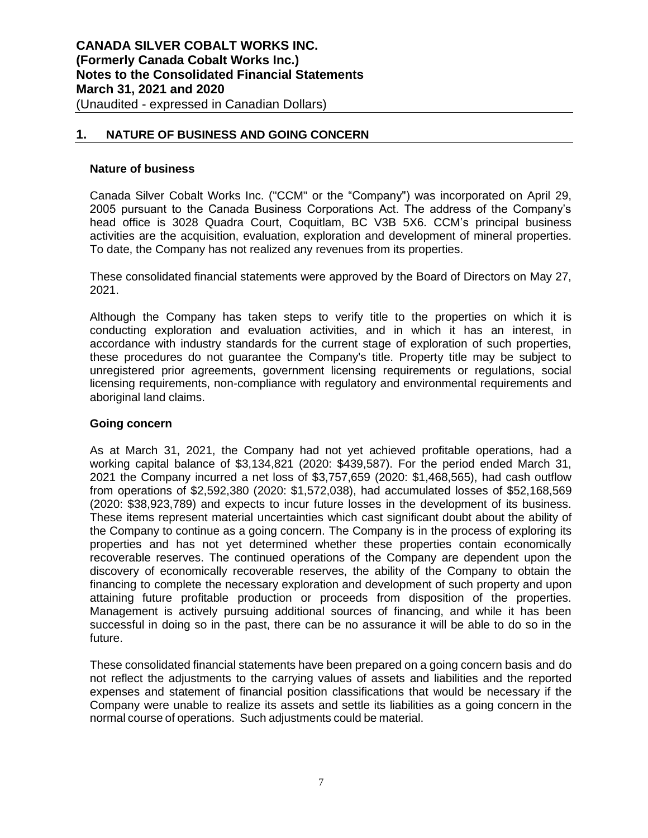## **1. NATURE OF BUSINESS AND GOING CONCERN**

#### **Nature of business**

Canada Silver Cobalt Works Inc. ("CCM" or the "Company") was incorporated on April 29, 2005 pursuant to the Canada Business Corporations Act. The address of the Company's head office is 3028 Quadra Court, Coquitlam, BC V3B 5X6. CCM's principal business activities are the acquisition, evaluation, exploration and development of mineral properties. To date, the Company has not realized any revenues from its properties.

These consolidated financial statements were approved by the Board of Directors on May 27, 2021.

Although the Company has taken steps to verify title to the properties on which it is conducting exploration and evaluation activities, and in which it has an interest, in accordance with industry standards for the current stage of exploration of such properties, these procedures do not guarantee the Company's title. Property title may be subject to unregistered prior agreements, government licensing requirements or regulations, social licensing requirements, non-compliance with regulatory and environmental requirements and aboriginal land claims.

#### **Going concern**

As at March 31, 2021, the Company had not yet achieved profitable operations, had a working capital balance of \$3,134,821 (2020: \$439,587). For the period ended March 31, 2021 the Company incurred a net loss of \$3,757,659 (2020: \$1,468,565), had cash outflow from operations of \$2,592,380 (2020: \$1,572,038), had accumulated losses of \$52,168,569 (2020: \$38,923,789) and expects to incur future losses in the development of its business. These items represent material uncertainties which cast significant doubt about the ability of the Company to continue as a going concern. The Company is in the process of exploring its properties and has not yet determined whether these properties contain economically recoverable reserves. The continued operations of the Company are dependent upon the discovery of economically recoverable reserves, the ability of the Company to obtain the financing to complete the necessary exploration and development of such property and upon attaining future profitable production or proceeds from disposition of the properties. Management is actively pursuing additional sources of financing, and while it has been successful in doing so in the past, there can be no assurance it will be able to do so in the future.

These consolidated financial statements have been prepared on a going concern basis and do not reflect the adjustments to the carrying values of assets and liabilities and the reported expenses and statement of financial position classifications that would be necessary if the Company were unable to realize its assets and settle its liabilities as a going concern in the normal course of operations. Such adjustments could be material.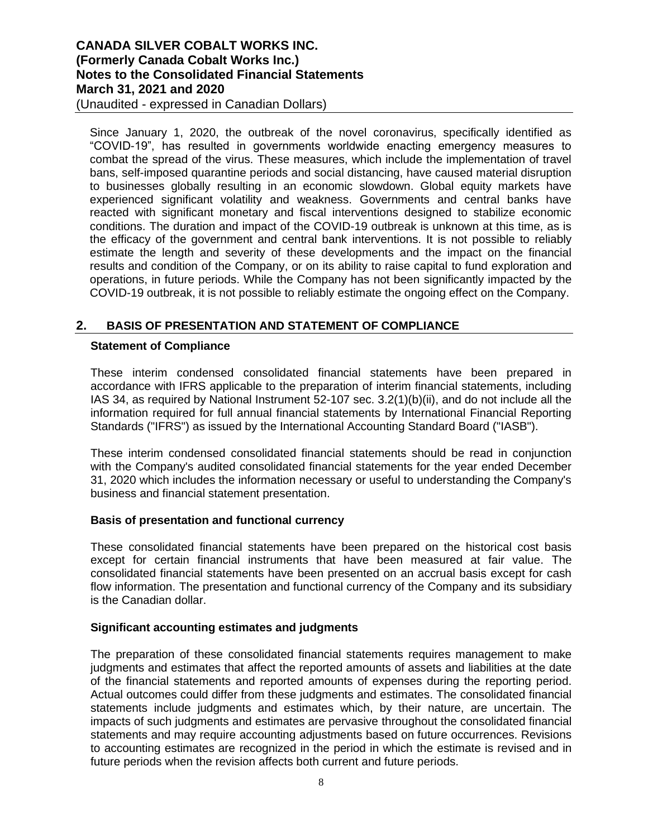(Unaudited - expressed in Canadian Dollars)

Since January 1, 2020, the outbreak of the novel coronavirus, specifically identified as "COVID-19", has resulted in governments worldwide enacting emergency measures to combat the spread of the virus. These measures, which include the implementation of travel bans, self-imposed quarantine periods and social distancing, have caused material disruption to businesses globally resulting in an economic slowdown. Global equity markets have experienced significant volatility and weakness. Governments and central banks have reacted with significant monetary and fiscal interventions designed to stabilize economic conditions. The duration and impact of the COVID-19 outbreak is unknown at this time, as is the efficacy of the government and central bank interventions. It is not possible to reliably estimate the length and severity of these developments and the impact on the financial results and condition of the Company, or on its ability to raise capital to fund exploration and operations, in future periods. While the Company has not been significantly impacted by the COVID-19 outbreak, it is not possible to reliably estimate the ongoing effect on the Company.

## **2. BASIS OF PRESENTATION AND STATEMENT OF COMPLIANCE**

#### **Statement of Compliance**

These interim condensed consolidated financial statements have been prepared in accordance with IFRS applicable to the preparation of interim financial statements, including IAS 34, as required by National Instrument 52-107 sec. 3.2(1)(b)(ii), and do not include all the information required for full annual financial statements by International Financial Reporting Standards ("IFRS") as issued by the International Accounting Standard Board ("IASB").

These interim condensed consolidated financial statements should be read in conjunction with the Company's audited consolidated financial statements for the year ended December 31, 2020 which includes the information necessary or useful to understanding the Company's business and financial statement presentation.

#### **Basis of presentation and functional currency**

These consolidated financial statements have been prepared on the historical cost basis except for certain financial instruments that have been measured at fair value. The consolidated financial statements have been presented on an accrual basis except for cash flow information. The presentation and functional currency of the Company and its subsidiary is the Canadian dollar.

#### **Significant accounting estimates and judgments**

The preparation of these consolidated financial statements requires management to make judgments and estimates that affect the reported amounts of assets and liabilities at the date of the financial statements and reported amounts of expenses during the reporting period. Actual outcomes could differ from these judgments and estimates. The consolidated financial statements include judgments and estimates which, by their nature, are uncertain. The impacts of such judgments and estimates are pervasive throughout the consolidated financial statements and may require accounting adjustments based on future occurrences. Revisions to accounting estimates are recognized in the period in which the estimate is revised and in future periods when the revision affects both current and future periods.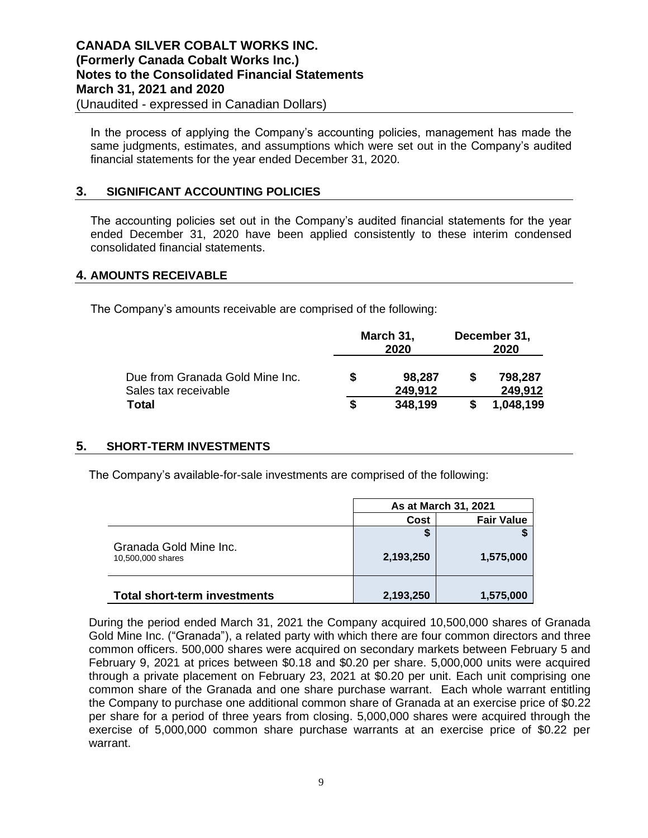In the process of applying the Company's accounting policies, management has made the same judgments, estimates, and assumptions which were set out in the Company's audited financial statements for the year ended December 31, 2020.

## **3. SIGNIFICANT ACCOUNTING POLICIES**

The accounting policies set out in the Company's audited financial statements for the year ended December 31, 2020 have been applied consistently to these interim condensed consolidated financial statements.

## **4. AMOUNTS RECEIVABLE**

The Company's amounts receivable are comprised of the following:

|                                 |   | March 31,<br>2020 | December 31,<br>2020 |           |
|---------------------------------|---|-------------------|----------------------|-----------|
| Due from Granada Gold Mine Inc. | S | 98,287            |                      | 798,287   |
| Sales tax receivable            |   | 249,912           |                      | 249,912   |
| Total                           | S | 348,199           |                      | 1,048,199 |

## **5. SHORT-TERM INVESTMENTS**

The Company's available-for-sale investments are comprised of the following:

|                                             | As at March 31, 2021 |                   |  |
|---------------------------------------------|----------------------|-------------------|--|
|                                             | Cost                 | <b>Fair Value</b> |  |
|                                             | S                    |                   |  |
| Granada Gold Mine Inc.<br>10,500,000 shares | 2,193,250            | 1,575,000         |  |
| <b>Total short-term investments</b>         | 2,193,250            | 1,575,000         |  |

During the period ended March 31, 2021 the Company acquired 10,500,000 shares of Granada Gold Mine Inc. ("Granada"), a related party with which there are four common directors and three common officers. 500,000 shares were acquired on secondary markets between February 5 and February 9, 2021 at prices between \$0.18 and \$0.20 per share. 5,000,000 units were acquired through a private placement on February 23, 2021 at \$0.20 per unit. Each unit comprising one common share of the Granada and one share purchase warrant. Each whole warrant entitling the Company to purchase one additional common share of Granada at an exercise price of \$0.22 per share for a period of three years from closing. 5,000,000 shares were acquired through the exercise of 5,000,000 common share purchase warrants at an exercise price of \$0.22 per warrant.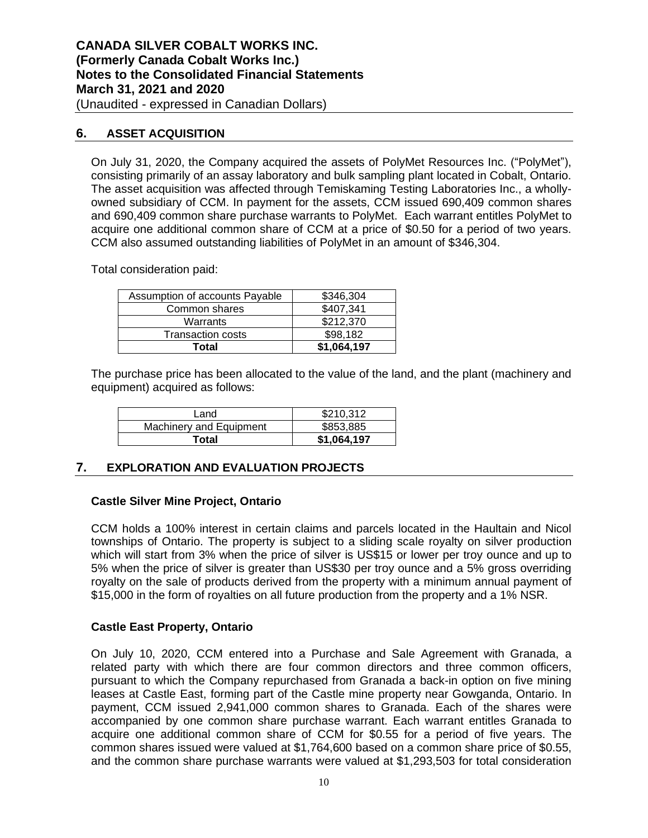# **6. ASSET ACQUISITION**

On July 31, 2020, the Company acquired the assets of PolyMet Resources Inc. ("PolyMet"), consisting primarily of an assay laboratory and bulk sampling plant located in Cobalt, Ontario. The asset acquisition was affected through Temiskaming Testing Laboratories Inc., a whollyowned subsidiary of CCM. In payment for the assets, CCM issued 690,409 common shares and 690,409 common share purchase warrants to PolyMet. Each warrant entitles PolyMet to acquire one additional common share of CCM at a price of \$0.50 for a period of two years. CCM also assumed outstanding liabilities of PolyMet in an amount of \$346,304.

Total consideration paid:

| Assumption of accounts Payable | \$346,304   |
|--------------------------------|-------------|
| Common shares                  | \$407,341   |
| Warrants                       | \$212,370   |
| <b>Transaction costs</b>       | \$98,182    |
| Total                          | \$1,064,197 |

The purchase price has been allocated to the value of the land, and the plant (machinery and equipment) acquired as follows:

| Land                    | \$210,312   |
|-------------------------|-------------|
| Machinery and Equipment | \$853,885   |
| Total                   | \$1,064,197 |

## **7. EXPLORATION AND EVALUATION PROJECTS**

## **Castle Silver Mine Project, Ontario**

CCM holds a 100% interest in certain claims and parcels located in the Haultain and Nicol townships of Ontario. The property is subject to a sliding scale royalty on silver production which will start from 3% when the price of silver is US\$15 or lower per troy ounce and up to 5% when the price of silver is greater than US\$30 per troy ounce and a 5% gross overriding royalty on the sale of products derived from the property with a minimum annual payment of \$15,000 in the form of royalties on all future production from the property and a 1% NSR.

## **Castle East Property, Ontario**

On July 10, 2020, CCM entered into a Purchase and Sale Agreement with Granada, a related party with which there are four common directors and three common officers, pursuant to which the Company repurchased from Granada a back-in option on five mining leases at Castle East, forming part of the Castle mine property near Gowganda, Ontario. In payment, CCM issued 2,941,000 common shares to Granada. Each of the shares were accompanied by one common share purchase warrant. Each warrant entitles Granada to acquire one additional common share of CCM for \$0.55 for a period of five years. The common shares issued were valued at \$1,764,600 based on a common share price of \$0.55, and the common share purchase warrants were valued at \$1,293,503 for total consideration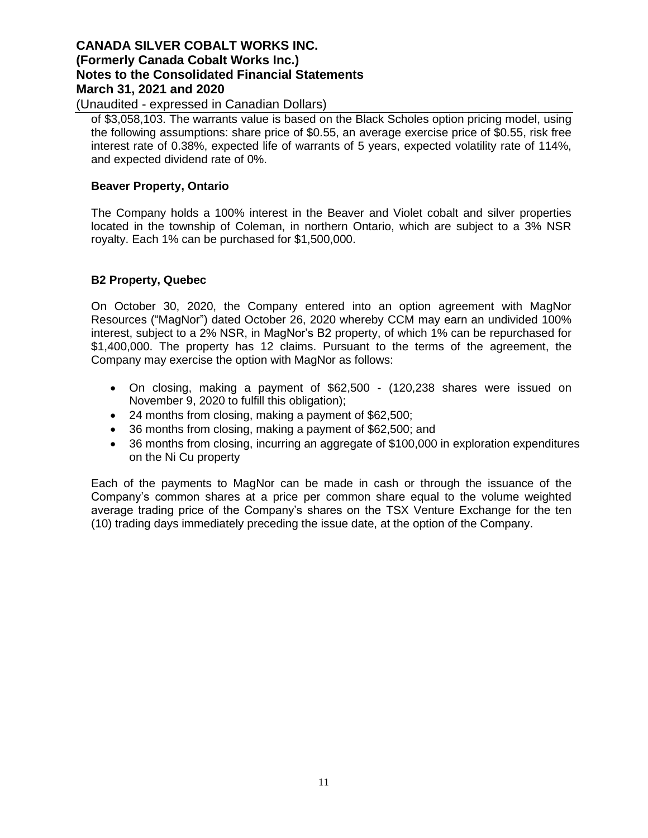(Unaudited - expressed in Canadian Dollars)

of \$3,058,103. The warrants value is based on the Black Scholes option pricing model, using the following assumptions: share price of \$0.55, an average exercise price of \$0.55, risk free interest rate of 0.38%, expected life of warrants of 5 years, expected volatility rate of 114%, and expected dividend rate of 0%.

## **Beaver Property, Ontario**

The Company holds a 100% interest in the Beaver and Violet cobalt and silver properties located in the township of Coleman, in northern Ontario, which are subject to a 3% NSR royalty. Each 1% can be purchased for \$1,500,000.

## **B2 Property, Quebec**

On October 30, 2020, the Company entered into an option agreement with MagNor Resources ("MagNor") dated October 26, 2020 whereby CCM may earn an undivided 100% interest, subject to a 2% NSR, in MagNor's B2 property, of which 1% can be repurchased for \$1,400,000. The property has 12 claims. Pursuant to the terms of the agreement, the Company may exercise the option with MagNor as follows:

- On closing, making a payment of \$62,500 (120,238 shares were issued on November 9, 2020 to fulfill this obligation);
- 24 months from closing, making a payment of \$62,500;
- 36 months from closing, making a payment of \$62,500; and
- 36 months from closing, incurring an aggregate of \$100,000 in exploration expenditures on the Ni Cu property

Each of the payments to MagNor can be made in cash or through the issuance of the Company's common shares at a price per common share equal to the volume weighted average trading price of the Company's shares on the TSX Venture Exchange for the ten (10) trading days immediately preceding the issue date, at the option of the Company.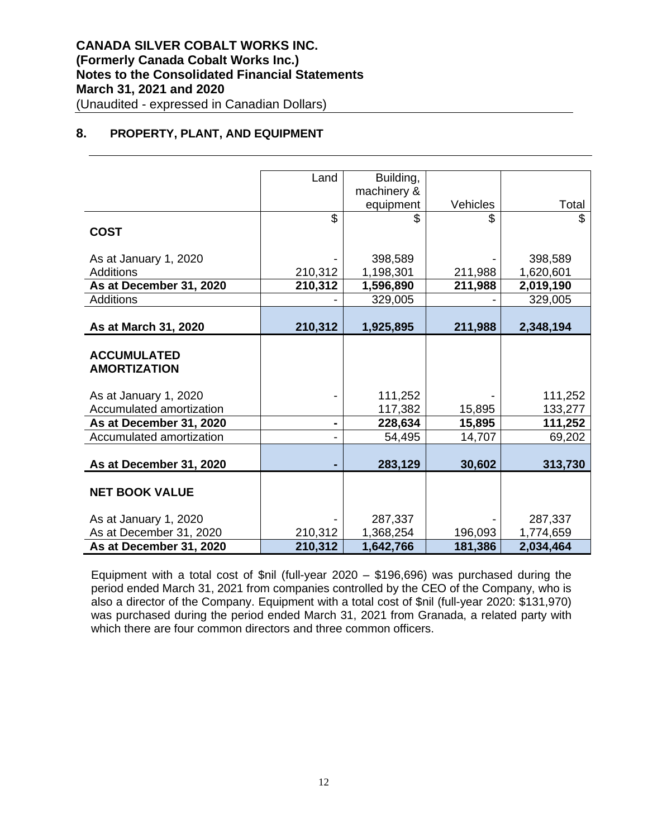## **8. PROPERTY, PLANT, AND EQUIPMENT**

|                          | Land    | Building,   |          |           |
|--------------------------|---------|-------------|----------|-----------|
|                          |         | machinery & |          |           |
|                          |         | equipment   | Vehicles | Total     |
|                          | \$      | \$          | \$.      | \$        |
| <b>COST</b>              |         |             |          |           |
|                          |         |             |          |           |
| As at January 1, 2020    |         | 398,589     |          | 398,589   |
| <b>Additions</b>         | 210,312 | 1,198,301   | 211,988  | 1,620,601 |
| As at December 31, 2020  | 210,312 | 1,596,890   | 211,988  | 2,019,190 |
| <b>Additions</b>         |         | 329,005     |          | 329,005   |
|                          |         |             |          |           |
| As at March 31, 2020     | 210,312 | 1,925,895   | 211,988  | 2,348,194 |
|                          |         |             |          |           |
| <b>ACCUMULATED</b>       |         |             |          |           |
| <b>AMORTIZATION</b>      |         |             |          |           |
|                          |         |             |          |           |
| As at January 1, 2020    |         | 111,252     |          | 111,252   |
| Accumulated amortization |         | 117,382     | 15,895   | 133,277   |
|                          |         |             |          |           |
| As at December 31, 2020  |         | 228,634     | 15,895   | 111,252   |
| Accumulated amortization |         | 54,495      | 14,707   | 69,202    |
|                          |         |             |          |           |
| As at December 31, 2020  |         | 283,129     | 30,602   | 313,730   |
|                          |         |             |          |           |
| <b>NET BOOK VALUE</b>    |         |             |          |           |
|                          |         |             |          |           |
| As at January 1, 2020    |         | 287,337     |          | 287,337   |
| As at December 31, 2020  | 210,312 | 1,368,254   | 196,093  | 1,774,659 |
| As at December 31, 2020  | 210,312 | 1,642,766   | 181,386  | 2,034,464 |

Equipment with a total cost of \$nil (full-year 2020 – \$196,696) was purchased during the period ended March 31, 2021 from companies controlled by the CEO of the Company, who is also a director of the Company. Equipment with a total cost of \$nil (full-year 2020: \$131,970) was purchased during the period ended March 31, 2021 from Granada, a related party with which there are four common directors and three common officers.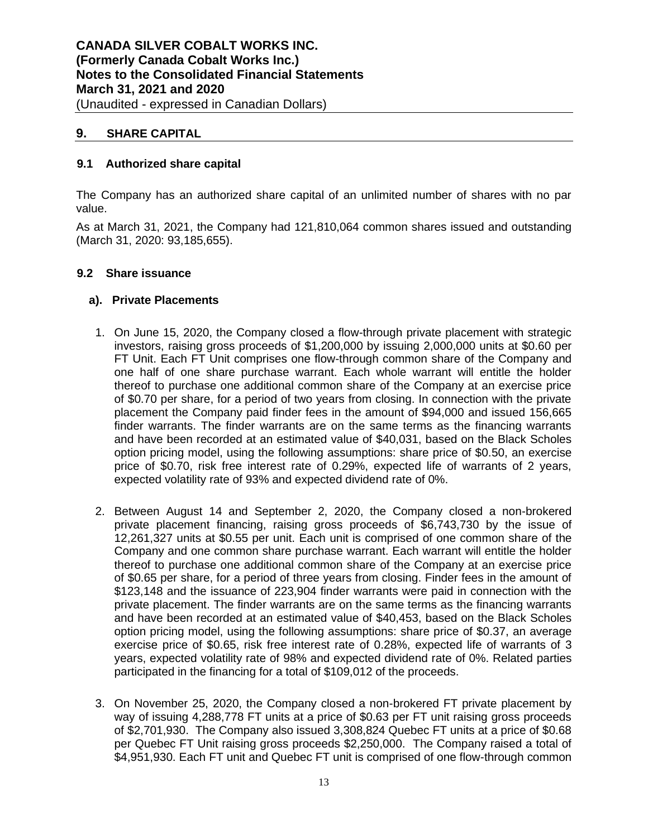# **9. SHARE CAPITAL**

## **9.1 Authorized share capital**

The Company has an authorized share capital of an unlimited number of shares with no par value.

As at March 31, 2021, the Company had 121,810,064 common shares issued and outstanding (March 31, 2020: 93,185,655).

#### **9.2 Share issuance**

## **a). Private Placements**

- 1. On June 15, 2020, the Company closed a flow-through private placement with strategic investors, raising gross proceeds of \$1,200,000 by issuing 2,000,000 units at \$0.60 per FT Unit. Each FT Unit comprises one flow-through common share of the Company and one half of one share purchase warrant. Each whole warrant will entitle the holder thereof to purchase one additional common share of the Company at an exercise price of \$0.70 per share, for a period of two years from closing. In connection with the private placement the Company paid finder fees in the amount of \$94,000 and issued 156,665 finder warrants. The finder warrants are on the same terms as the financing warrants and have been recorded at an estimated value of \$40,031, based on the Black Scholes option pricing model, using the following assumptions: share price of \$0.50, an exercise price of \$0.70, risk free interest rate of 0.29%, expected life of warrants of 2 years, expected volatility rate of 93% and expected dividend rate of 0%.
- 2. Between August 14 and September 2, 2020, the Company closed a non-brokered private placement financing, raising gross proceeds of \$6,743,730 by the issue of 12,261,327 units at \$0.55 per unit. Each unit is comprised of one common share of the Company and one common share purchase warrant. Each warrant will entitle the holder thereof to purchase one additional common share of the Company at an exercise price of \$0.65 per share, for a period of three years from closing. Finder fees in the amount of \$123,148 and the issuance of 223,904 finder warrants were paid in connection with the private placement. The finder warrants are on the same terms as the financing warrants and have been recorded at an estimated value of \$40,453, based on the Black Scholes option pricing model, using the following assumptions: share price of \$0.37, an average exercise price of \$0.65, risk free interest rate of 0.28%, expected life of warrants of 3 years, expected volatility rate of 98% and expected dividend rate of 0%. Related parties participated in the financing for a total of \$109,012 of the proceeds.
- 3. On November 25, 2020, the Company closed a non-brokered FT private placement by way of issuing 4,288,778 FT units at a price of \$0.63 per FT unit raising gross proceeds of \$2,701,930. The Company also issued 3,308,824 Quebec FT units at a price of \$0.68 per Quebec FT Unit raising gross proceeds \$2,250,000. The Company raised a total of \$4,951,930. Each FT unit and Quebec FT unit is comprised of one flow-through common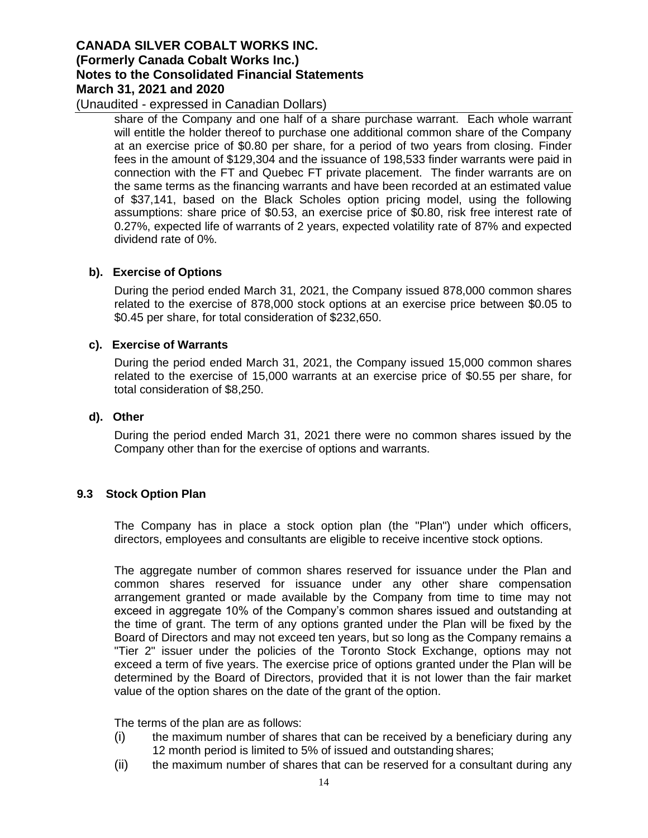(Unaudited - expressed in Canadian Dollars)

share of the Company and one half of a share purchase warrant. Each whole warrant will entitle the holder thereof to purchase one additional common share of the Company at an exercise price of \$0.80 per share, for a period of two years from closing. Finder fees in the amount of \$129,304 and the issuance of 198,533 finder warrants were paid in connection with the FT and Quebec FT private placement. The finder warrants are on the same terms as the financing warrants and have been recorded at an estimated value of \$37,141, based on the Black Scholes option pricing model, using the following assumptions: share price of \$0.53, an exercise price of \$0.80, risk free interest rate of 0.27%, expected life of warrants of 2 years, expected volatility rate of 87% and expected dividend rate of 0%.

## **b). Exercise of Options**

During the period ended March 31, 2021, the Company issued 878,000 common shares related to the exercise of 878,000 stock options at an exercise price between \$0.05 to \$0.45 per share, for total consideration of \$232,650.

#### **c). Exercise of Warrants**

During the period ended March 31, 2021, the Company issued 15,000 common shares related to the exercise of 15,000 warrants at an exercise price of \$0.55 per share, for total consideration of \$8,250.

#### **d). Other**

During the period ended March 31, 2021 there were no common shares issued by the Company other than for the exercise of options and warrants.

#### **9.3 Stock Option Plan**

The Company has in place a stock option plan (the "Plan") under which officers, directors, employees and consultants are eligible to receive incentive stock options.

The aggregate number of common shares reserved for issuance under the Plan and common shares reserved for issuance under any other share compensation arrangement granted or made available by the Company from time to time may not exceed in aggregate 10% of the Company's common shares issued and outstanding at the time of grant. The term of any options granted under the Plan will be fixed by the Board of Directors and may not exceed ten years, but so long as the Company remains a "Tier 2" issuer under the policies of the Toronto Stock Exchange, options may not exceed a term of five years. The exercise price of options granted under the Plan will be determined by the Board of Directors, provided that it is not lower than the fair market value of the option shares on the date of the grant of the option.

The terms of the plan are as follows:

- (i) the maximum number of shares that can be received by a beneficiary during any 12 month period is limited to 5% of issued and outstanding shares;
- (ii) the maximum number of shares that can be reserved for a consultant during any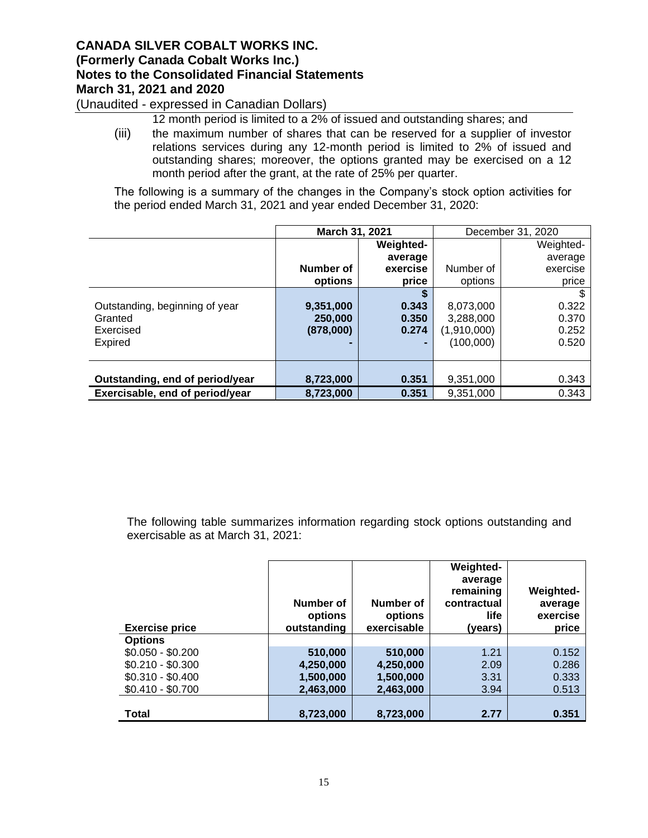(Unaudited - expressed in Canadian Dollars)

12 month period is limited to a 2% of issued and outstanding shares; and

(iii) the maximum number of shares that can be reserved for a supplier of investor relations services during any 12-month period is limited to 2% of issued and outstanding shares; moreover, the options granted may be exercised on a 12 month period after the grant, at the rate of 25% per quarter.

The following is a summary of the changes in the Company's stock option activities for the period ended March 31, 2021 and year ended December 31, 2020:

|                                 | March 31, 2021 |                  | December 31, 2020 |           |
|---------------------------------|----------------|------------------|-------------------|-----------|
|                                 |                | <b>Weighted-</b> |                   | Weighted- |
|                                 |                | average          |                   | average   |
|                                 | Number of      | exercise         | Number of         | exercise  |
|                                 | options        | price            | options           | price     |
|                                 |                |                  |                   |           |
| Outstanding, beginning of year  | 9,351,000      | 0.343            | 8,073,000         | 0.322     |
| Granted                         | 250,000        | 0.350            | 3,288,000         | 0.370     |
| Exercised                       | (878,000)      | 0.274            | (1,910,000)       | 0.252     |
| <b>Expired</b>                  |                | ۰.               | (100,000)         | 0.520     |
|                                 |                |                  |                   |           |
|                                 |                |                  |                   |           |
| Outstanding, end of period/year | 8,723,000      | 0.351            | 9,351,000         | 0.343     |
| Exercisable, end of period/year | 8,723,000      | 0.351            | 9.351.000         | 0.343     |

The following table summarizes information regarding stock options outstanding and exercisable as at March 31, 2021:

| <b>Exercise price</b> | Number of<br>options<br>outstanding | Number of<br>options<br>exercisable | Weighted-<br>average<br>remaining<br>contractual<br>life.<br>(years) | <b>Weighted-</b><br>average<br>exercise<br>price |
|-----------------------|-------------------------------------|-------------------------------------|----------------------------------------------------------------------|--------------------------------------------------|
| <b>Options</b>        |                                     |                                     |                                                                      |                                                  |
| $$0.050 - $0.200$     | 510,000                             | 510,000                             | 1.21                                                                 | 0.152                                            |
| $$0.210 - $0.300$     | 4,250,000                           | 4,250,000                           | 2.09                                                                 | 0.286                                            |
| $$0.310 - $0.400$     | 1,500,000                           | 1,500,000                           | 3.31                                                                 | 0.333                                            |
| $$0.410 - $0.700$     | 2,463,000                           | 2,463,000                           | 3.94                                                                 | 0.513                                            |
|                       |                                     |                                     |                                                                      |                                                  |
| <b>Total</b>          | 8,723,000                           | 8,723,000                           | 2.77                                                                 | 0.351                                            |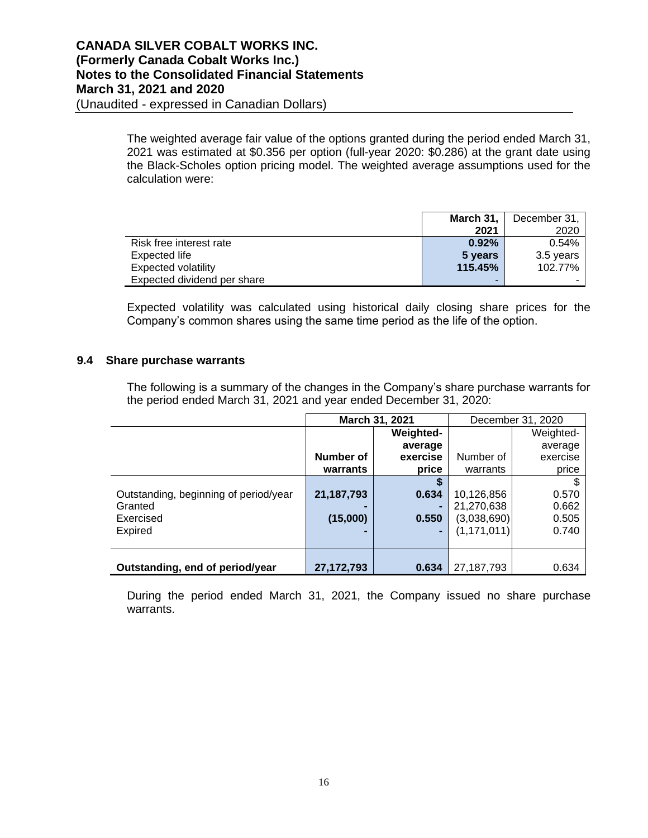The weighted average fair value of the options granted during the period ended March 31, 2021 was estimated at \$0.356 per option (full-year 2020: \$0.286) at the grant date using the Black-Scholes option pricing model. The weighted average assumptions used for the calculation were:

|                             | March 31, $\vert$ | December 31, |
|-----------------------------|-------------------|--------------|
|                             | 2021              | 2020         |
| Risk free interest rate     | $0.92\%$          | 0.54%        |
| Expected life               | 5 years           | 3.5 years    |
| Expected volatility         | 115.45%           | 102.77%      |
| Expected dividend per share | -                 |              |

Expected volatility was calculated using historical daily closing share prices for the Company's common shares using the same time period as the life of the option.

#### **9.4 Share purchase warrants**

The following is a summary of the changes in the Company's share purchase warrants for the period ended March 31, 2021 and year ended December 31, 2020:

|                                       | March 31, 2021 |           |               | December 31, 2020 |
|---------------------------------------|----------------|-----------|---------------|-------------------|
|                                       |                | Weighted- |               | Weighted-         |
|                                       |                | average   |               | average           |
|                                       | Number of      | exercise  | Number of     | exercise          |
|                                       | warrants       | price     | warrants      | price             |
|                                       |                |           |               |                   |
| Outstanding, beginning of period/year | 21,187,793     | 0.634     | 10,126,856    | 0.570             |
| Granted                               |                |           | 21,270,638    | 0.662             |
| Exercised                             | (15,000)       | 0.550     | (3,038,690)   | 0.505             |
| <b>Expired</b>                        |                |           | (1, 171, 011) | 0.740             |
|                                       |                |           |               |                   |
|                                       |                |           |               |                   |
| Outstanding, end of period/year       | 27,172,793     | 0.634     | 27,187,793    | 0.634             |

During the period ended March 31, 2021, the Company issued no share purchase warrants.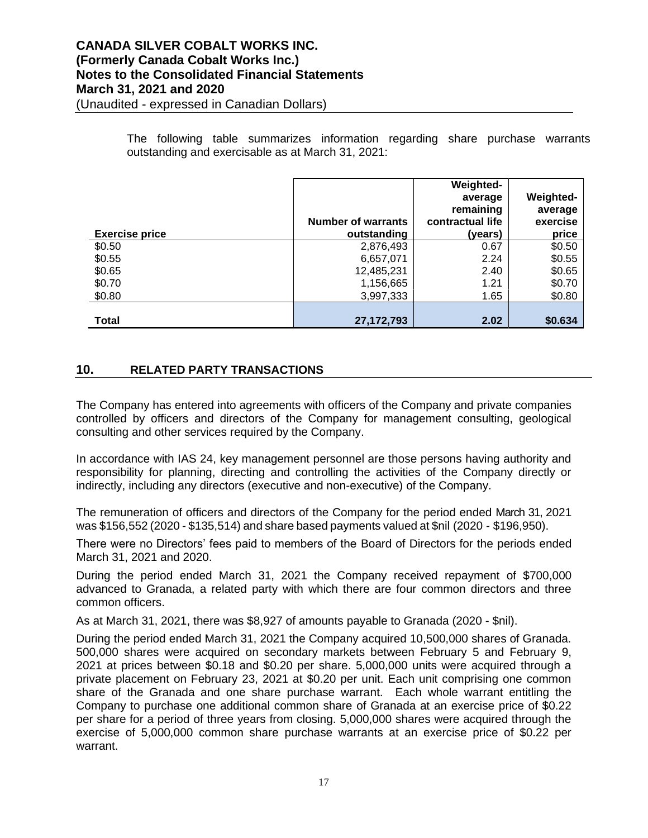The following table summarizes information regarding share purchase warrants outstanding and exercisable as at March 31, 2021:

| <b>Exercise price</b> | <b>Number of warrants</b><br>outstanding | Weighted-<br>average<br>remaining<br>contractual life<br>(years) | Weighted-<br>average<br>exercise<br>price |
|-----------------------|------------------------------------------|------------------------------------------------------------------|-------------------------------------------|
| \$0.50                | 2,876,493                                | 0.67                                                             | \$0.50                                    |
| \$0.55                | 6,657,071                                | 2.24                                                             | \$0.55                                    |
| \$0.65                | 12,485,231                               | 2.40                                                             | \$0.65                                    |
| \$0.70                | 1,156,665                                | 1.21                                                             | \$0.70                                    |
| \$0.80                | 3,997,333                                | 1.65                                                             | \$0.80                                    |
| <b>Total</b>          | 27, 172, 793                             | 2.02                                                             | \$0.634                                   |

## **10. RELATED PARTY TRANSACTIONS**

The Company has entered into agreements with officers of the Company and private companies controlled by officers and directors of the Company for management consulting, geological consulting and other services required by the Company.

In accordance with IAS 24, key management personnel are those persons having authority and responsibility for planning, directing and controlling the activities of the Company directly or indirectly, including any directors (executive and non-executive) of the Company.

The remuneration of officers and directors of the Company for the period ended March 31, 2021 was \$156,552 (2020 - \$135,514) and share based payments valued at \$nil (2020 - \$196,950).

There were no Directors' fees paid to members of the Board of Directors for the periods ended March 31, 2021 and 2020.

During the period ended March 31, 2021 the Company received repayment of \$700,000 advanced to Granada, a related party with which there are four common directors and three common officers.

As at March 31, 2021, there was \$8,927 of amounts payable to Granada (2020 - \$nil).

During the period ended March 31, 2021 the Company acquired 10,500,000 shares of Granada. 500,000 shares were acquired on secondary markets between February 5 and February 9, 2021 at prices between \$0.18 and \$0.20 per share. 5,000,000 units were acquired through a private placement on February 23, 2021 at \$0.20 per unit. Each unit comprising one common share of the Granada and one share purchase warrant. Each whole warrant entitling the Company to purchase one additional common share of Granada at an exercise price of \$0.22 per share for a period of three years from closing. 5,000,000 shares were acquired through the exercise of 5,000,000 common share purchase warrants at an exercise price of \$0.22 per warrant.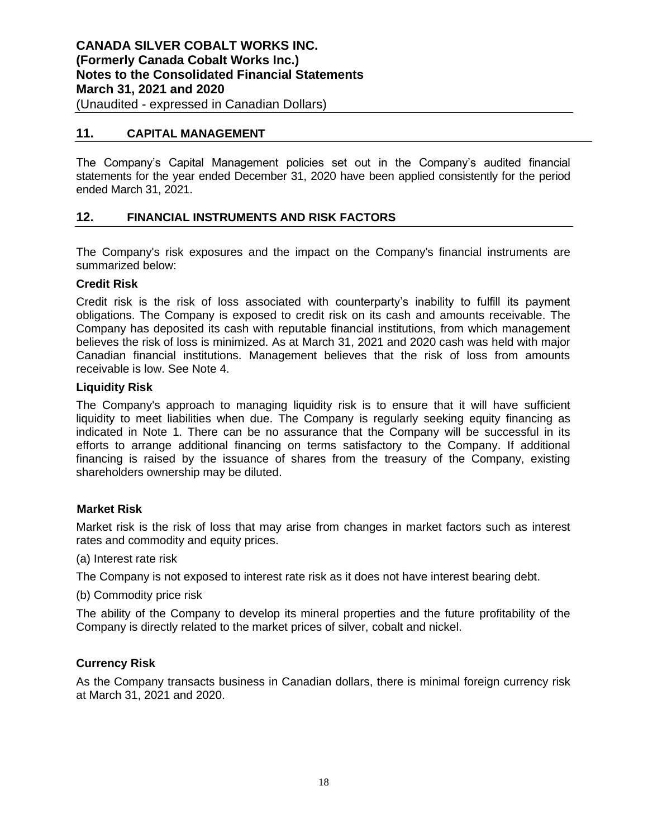## **11. CAPITAL MANAGEMENT**

The Company's Capital Management policies set out in the Company's audited financial statements for the year ended December 31, 2020 have been applied consistently for the period ended March 31, 2021.

## **12. FINANCIAL INSTRUMENTS AND RISK FACTORS**

The Company's risk exposures and the impact on the Company's financial instruments are summarized below:

## **Credit Risk**

Credit risk is the risk of loss associated with counterparty's inability to fulfill its payment obligations. The Company is exposed to credit risk on its cash and amounts receivable. The Company has deposited its cash with reputable financial institutions, from which management believes the risk of loss is minimized. As at March 31, 2021 and 2020 cash was held with major Canadian financial institutions. Management believes that the risk of loss from amounts receivable is low. See Note 4.

## **Liquidity Risk**

The Company's approach to managing liquidity risk is to ensure that it will have sufficient liquidity to meet liabilities when due. The Company is regularly seeking equity financing as indicated in Note 1. There can be no assurance that the Company will be successful in its efforts to arrange additional financing on terms satisfactory to the Company. If additional financing is raised by the issuance of shares from the treasury of the Company, existing shareholders ownership may be diluted.

## **Market Risk**

Market risk is the risk of loss that may arise from changes in market factors such as interest rates and commodity and equity prices.

(a) Interest rate risk

The Company is not exposed to interest rate risk as it does not have interest bearing debt.

(b) Commodity price risk

The ability of the Company to develop its mineral properties and the future profitability of the Company is directly related to the market prices of silver, cobalt and nickel.

## **Currency Risk**

As the Company transacts business in Canadian dollars, there is minimal foreign currency risk at March 31, 2021 and 2020.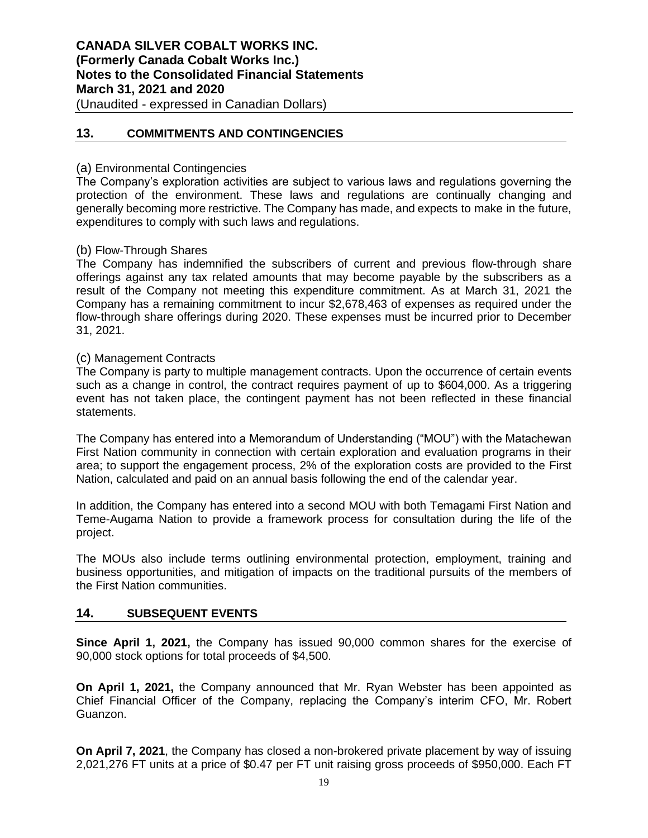**CANADA SILVER COBALT WORKS INC. (Formerly Canada Cobalt Works Inc.) Notes to the Consolidated Financial Statements March 31, 2021 and 2020** (Unaudited - expressed in Canadian Dollars)

## **13. COMMITMENTS AND CONTINGENCIES**

#### (a) Environmental Contingencies

The Company's exploration activities are subject to various laws and regulations governing the protection of the environment. These laws and regulations are continually changing and generally becoming more restrictive. The Company has made, and expects to make in the future, expenditures to comply with such laws and regulations.

#### (b) Flow-Through Shares

The Company has indemnified the subscribers of current and previous flow-through share offerings against any tax related amounts that may become payable by the subscribers as a result of the Company not meeting this expenditure commitment. As at March 31, 2021 the Company has a remaining commitment to incur \$2,678,463 of expenses as required under the flow-through share offerings during 2020. These expenses must be incurred prior to December 31, 2021.

## (c) Management Contracts

The Company is party to multiple management contracts. Upon the occurrence of certain events such as a change in control, the contract requires payment of up to \$604,000. As a triggering event has not taken place, the contingent payment has not been reflected in these financial statements.

The Company has entered into a Memorandum of Understanding ("MOU") with the Matachewan First Nation community in connection with certain exploration and evaluation programs in their area; to support the engagement process, 2% of the exploration costs are provided to the First Nation, calculated and paid on an annual basis following the end of the calendar year.

In addition, the Company has entered into a second MOU with both Temagami First Nation and Teme-Augama Nation to provide a framework process for consultation during the life of the project.

The MOUs also include terms outlining environmental protection, employment, training and business opportunities, and mitigation of impacts on the traditional pursuits of the members of the First Nation communities.

## **14. SUBSEQUENT EVENTS**

**Since April 1, 2021,** the Company has issued 90,000 common shares for the exercise of 90,000 stock options for total proceeds of \$4,500.

**On April 1, 2021,** the Company announced that Mr. Ryan Webster has been appointed as Chief Financial Officer of the Company, replacing the Company's interim CFO, Mr. Robert Guanzon.

**On April 7, 2021**, the Company has closed a non-brokered private placement by way of issuing 2,021,276 FT units at a price of \$0.47 per FT unit raising gross proceeds of \$950,000. Each FT